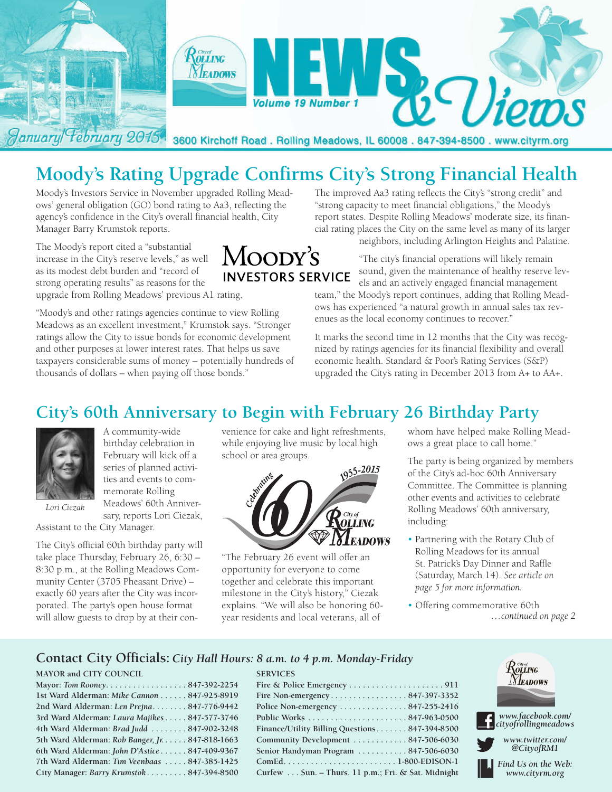

# **Moody's Rating Upgrade Confirms City's Strong Financial Health**

Moody's Investors Service in November upgraded Rolling Meadows' general obligation (GO) bond rating to Aa3, reflecting the agency's confidence in the City's overall financial health, City Manager Barry Krumstok reports.

The Moody's report cited a "substantial increase in the City's reserve levels," as well as its modest debt burden and "record of strong operating results" as reasons for the upgrade from Rolling Meadows' previous A1 rating.

"Moody's and other ratings agencies continue to view Rolling Meadows as an excellent investment," Krumstok says. "Stronger ratings allow the City to issue bonds for economic development and other purposes at lower interest rates. That helps us save taxpayers considerable sums of money – potentially hundreds of thousands of dollars – when paying off those bonds."

The improved Aa3 rating reflects the City's "strong credit" and "strong capacity to meet financial obligations," the Moody's report states. Despite Rolling Meadows' moderate size, its financial rating places the City on the same level as many of its larger neighbors, including Arlington Heights and Palatine.

> "The city's financial operations will likely remain sound, given the maintenance of healthy reserve levels and an actively engaged financial management

team," the Moody's report continues, adding that Rolling Meadows has experienced "a natural growth in annual sales tax revenues as the local economy continues to recover."

It marks the second time in 12 months that the City was recognized by ratings agencies for its financial flexibility and overall economic health. Standard & Poor's Rating Services (S&P) upgraded the City's rating in December 2013 from A+ to AA+.

## **City's 60th Anniversary to Begin with February 26 Birthday Party**

MOODY'S

**INVESTORS SERVICE** 



A community-wide birthday celebration in February will kick off a series of planned activities and events to commemorate Rolling Meadows' 60th Anniver-

sary, reports Lori Ciezak, *Lori Ciezak*

Assistant to the City Manager.

The City's official 60th birthday party will take place Thursday, February 26, 6:30 – 8:30 p.m., at the Rolling Meadows Community Center (3705 Pheasant Drive) – exactly 60 years after the City was incorporated. The party's open house format will allow guests to drop by at their con-

venience for cake and light refreshments, while enjoying live music by local high school or area groups.



"The February 26 event will offer an opportunity for everyone to come together and celebrate this important milestone in the City's history," Ciezak explains. "We will also be honoring 60 year residents and local veterans, all of

**SERVICES**

whom have helped make Rolling Meadows a great place to call home."

The party is being organized by members of the City's ad-hoc 60th Anniversary Committee. The Committee is planning other events and activities to celebrate Rolling Meadows' 60th anniversary, including:

- Partnering with the Rotary Club of Rolling Meadows for its annual St. Patrick's Day Dinner and Raffle (Saturday, March 14). *See article on page 5 for more information.*
- Offering commemorative 60th *…continued on page 2*

#### **Contact City Officials:** *City Hall Hours: 8 a.m. to 4 p.m. Monday-Friday*

#### **MAYOR and CITY COUNCIL**

| Mayor: Tom Rooney. 847-392-2254                 |  |
|-------------------------------------------------|--|
| 1st Ward Alderman: Mike Cannon 847-925-8919     |  |
| 2nd Ward Alderman: Len Prejna 847-776-9442      |  |
| 3rd Ward Alderman: Laura Majikes 847-577-3746   |  |
| 4th Ward Alderman: Brad Judd  847-902-3248      |  |
| 5th Ward Alderman: Rob Banger, Jr. 847-818-1663 |  |
| 6th Ward Alderman: John D'Astice 847-409-9367   |  |
| 7th Ward Alderman: Tim Veenbaas  847-385-1425   |  |
| City Manager: Barry Krumstok 847-394-8500       |  |

| Fire Non-emergency847-397-3352                     |  |
|----------------------------------------------------|--|
| Police Non-emergency 847-255-2416                  |  |
|                                                    |  |
| Finance/Utility Billing Questions 847-394-8500     |  |
| Community Development  847-506-6030                |  |
| Senior Handyman Program 847-506-6030               |  |
|                                                    |  |
| Curfew Sun. - Thurs. 11 p.m.; Fri. & Sat. Midnight |  |

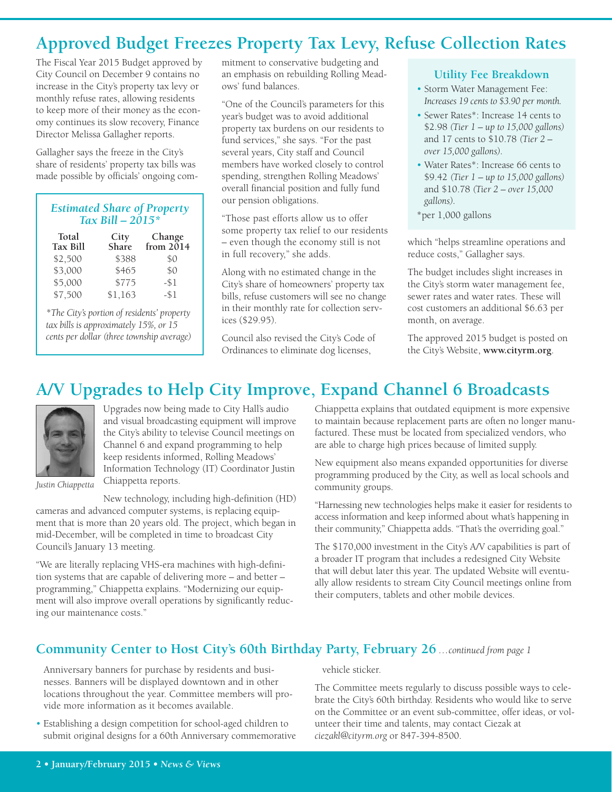# **Approved Budget Freezes Property Tax Levy, Refuse Collection Rates**

The Fiscal Year 2015 Budget approved by City Council on December 9 contains no increase in the City's property tax levy or monthly refuse rates, allowing residents to keep more of their money as the economy continues its slow recovery, Finance Director Melissa Gallagher reports.

Gallagher says the freeze in the City's share of residents' property tax bills was made possible by officials' ongoing com-

| <b>Estimated Share of Property</b> |
|------------------------------------|
| Tax Bill $-2015*$                  |

| Total<br><b>Tax Bill</b> | City<br>Share | Change<br>from $2014$ |
|--------------------------|---------------|-----------------------|
| \$2,500                  | \$388         | \$0                   |
| \$3,000                  | \$465         | \$0                   |
| \$5,000                  | \$775         | -\$1                  |
| \$7,500                  | \$1,163       | $-51$                 |

*\*The City's portion of residents' property tax bills is approximately 15%, or 15 cents per dollar (three township average)* mitment to conservative budgeting and an emphasis on rebuilding Rolling Meadows' fund balances.

"One of the Council's parameters for this year's budget was to avoid additional property tax burdens on our residents to fund services," she says. "For the past several years, City staff and Council members have worked closely to control spending, strengthen Rolling Meadows' overall financial position and fully fund our pension obligations.

"Those past efforts allow us to offer some property tax relief to our residents – even though the economy still is not in full recovery," she adds.

Along with no estimated change in the City's share of homeowners' property tax bills, refuse customers will see no change in their monthly rate for collection services (\$29.95).

Council also revised the City's Code of Ordinances to eliminate dog licenses,

#### **Utility Fee Breakdown**

- Storm Water Management Fee: *Increases 19 cents to \$3.90 per month.*
- Sewer Rates\*: Increase 14 cents to \$2.98 *(Tier 1 – up to 15,000 gallons)* and 17 cents to \$10.78 *(Tier 2 – over 15,000 gallons).*
- Water Rates\*: Increase 66 cents to \$9.42 *(Tier 1 – up to 15,000 gallons)* and \$10.78 *(Tier 2 – over 15,000 gallons).*
- \*per 1,000 gallons

which "helps streamline operations and reduce costs," Gallagher says.

The budget includes slight increases in the City's storm water management fee, sewer rates and water rates. These will cost customers an additional \$6.63 per month, on average.

The approved 2015 budget is posted on the City's Website, **www.cityrm.org**.

# **A/V Upgrades to Help City Improve, Expand Channel 6 Broadcasts**



Upgrades now being made to City Hall's audio and visual broadcasting equipment will improve the City's ability to televise Council meetings on Channel 6 and expand programming to help keep residents informed, Rolling Meadows' Information Technology (IT) Coordinator Justin Chiappetta reports.

*Justin Chiappetta*

New technology, including high-definition (HD) cameras and advanced computer systems, is replacing equipment that is more than 20 years old. The project, which began in

mid-December, will be completed in time to broadcast City Council's January 13 meeting.

"We are literally replacing VHS-era machines with high-definition systems that are capable of delivering more – and better – programming," Chiappetta explains. "Modernizing our equipment will also improve overall operations by significantly reducing our maintenance costs."

Chiappetta explains that outdated equipment is more expensive to maintain because replacement parts are often no longer manufactured. These must be located from specialized vendors, who are able to charge high prices because of limited supply.

New equipment also means expanded opportunities for diverse programming produced by the City, as well as local schools and community groups.

"Harnessing new technologies helps make it easier for residents to access information and keep informed about what's happening in their community," Chiappetta adds. "That's the overriding goal."

The \$170,000 investment in the City's A/V capabilities is part of a broader IT program that includes a redesigned City Website that will debut later this year. The updated Website will eventually allow residents to stream City Council meetings online from their computers, tablets and other mobile devices.

### **Community Center to Host City's 60th Birthday Party, February 26** *…continued from page 1*

Anniversary banners for purchase by residents and businesses. Banners will be displayed downtown and in other locations throughout the year. Committee members will provide more information as it becomes available.

• Establishing a design competition for school-aged children to submit original designs for a 60th Anniversary commemorative vehicle sticker.

The Committee meets regularly to discuss possible ways to celebrate the City's 60th birthday. Residents who would like to serve on the Committee or an event sub-committee, offer ideas, or volunteer their time and talents, may contact Ciezak at *ciezakl@cityrm.org* or 847-394-8500.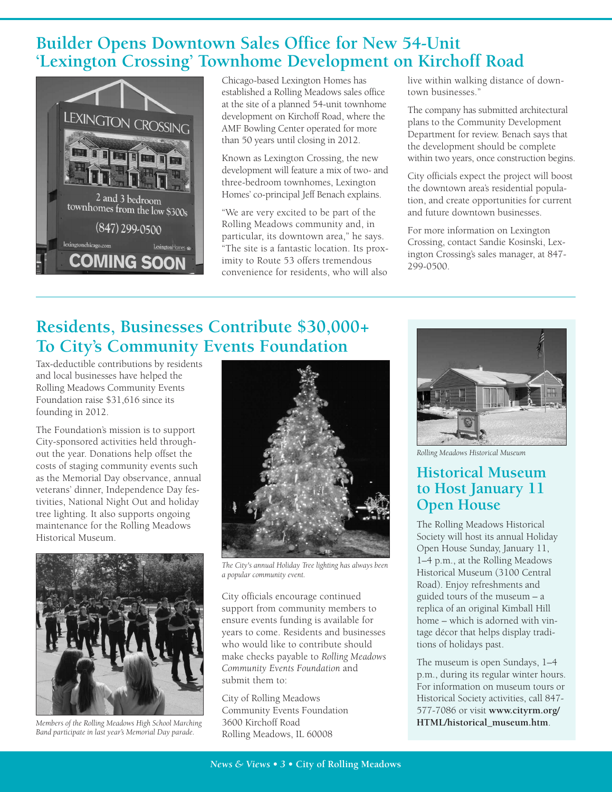# **Builder Opens Downtown Sales Office for New 54-Unit 'Lexington Crossing' Townhome Development on Kirchoff Road**



Chicago-based Lexington Homes has established a Rolling Meadows sales office at the site of a planned 54-unit townhome development on Kirchoff Road, where the AMF Bowling Center operated for more than 50 years until closing in 2012.

Known as Lexington Crossing, the new development will feature a mix of two- and three-bedroom townhomes, Lexington Homes' co-principal Jeff Benach explains.

"We are very excited to be part of the Rolling Meadows community and, in particular, its downtown area," he says. "The site is a fantastic location. Its proximity to Route 53 offers tremendous convenience for residents, who will also

live within walking distance of downtown businesses."

The company has submitted architectural plans to the Community Development Department for review. Benach says that the development should be complete within two years, once construction begins.

City officials expect the project will boost the downtown area's residential population, and create opportunities for current and future downtown businesses.

For more information on Lexington Crossing, contact Sandie Kosinski, Lexington Crossing's sales manager, at 847- 299-0500.

# **Residents, Businesses Contribute \$30,000+ To City's Community Events Foundation**

Tax-deductible contributions by residents and local businesses have helped the Rolling Meadows Community Events Foundation raise \$31,616 since its founding in 2012.

The Foundation's mission is to support City-sponsored activities held throughout the year. Donations help offset the costs of staging community events such as the Memorial Day observance, annual veterans' dinner, Independence Day festivities, National Night Out and holiday tree lighting. It also supports ongoing maintenance for the Rolling Meadows Historical Museum.



*Members of the Rolling Meadows High School Marching Band participate in last year's Memorial Day parade.*



*The City's annual Holiday Tree lighting has always been a popular community event.*

City officials encourage continued support from community members to ensure events funding is available for years to come. Residents and businesses who would like to contribute should make checks payable to *Rolling Meadows Community Events Foundation* and submit them to:

City of Rolling Meadows Community Events Foundation 3600 Kirchoff Road Rolling Meadows, IL 60008



*Rolling Meadows Historical Museum*

### **Historical Museum to Host January 11 Open House**

The Rolling Meadows Historical Society will host its annual Holiday Open House Sunday, January 11, 1–4 p.m., at the Rolling Meadows Historical Museum (3100 Central Road). Enjoy refreshments and guided tours of the museum – a replica of an original Kimball Hill home – which is adorned with vintage décor that helps display traditions of holidays past.

The museum is open Sundays, 1–4 p.m., during its regular winter hours. For information on museum tours or Historical Society activities, call 847- 577-7086 or visit **www.cityrm.org/ HTML/historical\_museum.htm**.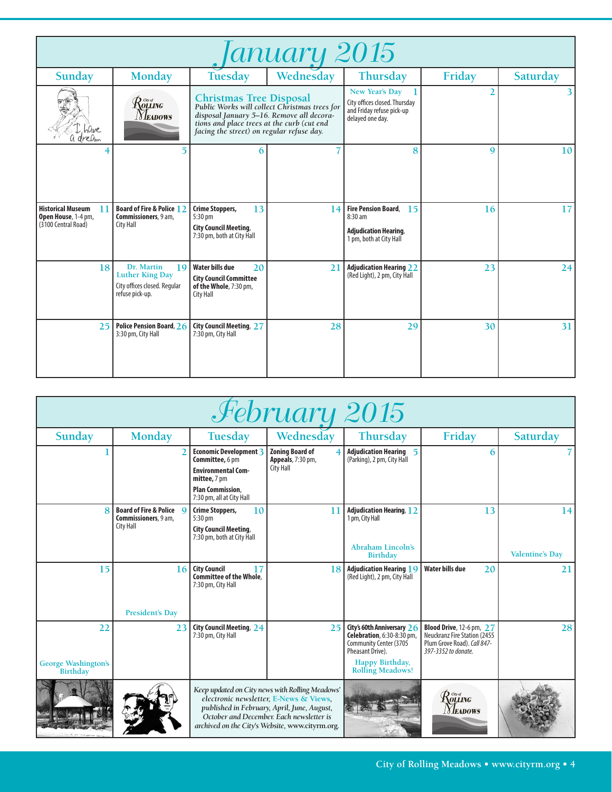| Ianuary 2015                                                                 |                                                                                               |                                                                                                                                                                                                                         |           |                                                                                                          |             |                 |
|------------------------------------------------------------------------------|-----------------------------------------------------------------------------------------------|-------------------------------------------------------------------------------------------------------------------------------------------------------------------------------------------------------------------------|-----------|----------------------------------------------------------------------------------------------------------|-------------|-----------------|
| Sunday                                                                       | <b>Monday</b>                                                                                 | Tuesday                                                                                                                                                                                                                 | Wednesday | <b>Thursday</b>                                                                                          | Friday      | Saturday        |
| hûve<br>dream                                                                | Rolling<br><i>Neadows</i>                                                                     | <b>Christmas Tree Disposal</b><br>Public Works will collect Christmas trees for<br>disposal January 5-16. Remove all decora-<br>tions and place trees at the curb (cut end<br>facing the street) on regular refuse day. |           | New Year's Day<br>City offices closed. Thursday<br>and Friday refuse pick-up<br>delayed one day.         | 2           |                 |
|                                                                              | 5                                                                                             | 6                                                                                                                                                                                                                       |           | 8                                                                                                        | $\mathbf Q$ | 10 <sup>1</sup> |
| <b>Historical Museum</b><br>T.<br>Open House, 1-4 pm,<br>(3100 Central Road) | <b>Board of Fire &amp; Police 12</b><br>Commissioners, 9 am,<br>City Hall                     | 13<br><b>Crime Stoppers,</b><br>5:30 pm<br><b>City Council Meeting,</b><br>7:30 pm, both at City Hall                                                                                                                   | 14        | <b>Fire Pension Board,</b><br>15<br>$8:30$ am<br><b>Adjudication Hearing,</b><br>1 pm, both at City Hall | 16          | 17              |
| 18                                                                           | Dr. Martin<br>19<br><b>Luther King Day</b><br>City offices closed. Regular<br>refuse pick-up. | <b>Water bills due</b><br>20<br><b>City Council Committee</b><br>of the Whole, 7:30 pm,<br><b>City Hall</b>                                                                                                             | 21        | <b>Adjudication Hearing 22</b><br>(Red Light), 2 pm, City Hall                                           | 23          | 24              |
|                                                                              | 25 Police Pension Board, 26<br>3:30 pm, City Hall                                             | <b>City Council Meeting, 27</b><br>7:30 pm, City Hall                                                                                                                                                                   | 28        | 29                                                                                                       | 30          | 31              |

| February 2015                                |                                                                          |                                                                                                                                                |                                                                                                                                                                                                                                         |                                                                                                                                                      |                                                                                                                               |                              |
|----------------------------------------------|--------------------------------------------------------------------------|------------------------------------------------------------------------------------------------------------------------------------------------|-----------------------------------------------------------------------------------------------------------------------------------------------------------------------------------------------------------------------------------------|------------------------------------------------------------------------------------------------------------------------------------------------------|-------------------------------------------------------------------------------------------------------------------------------|------------------------------|
| Sunday                                       | <b>Monday</b>                                                            | <b>Tuesday</b>                                                                                                                                 | Wednesday                                                                                                                                                                                                                               | Thursday                                                                                                                                             | Friday                                                                                                                        | Saturday                     |
|                                              |                                                                          | Economic Development 3<br>Committee, 6 pm<br><b>Environmental Com-</b><br>mittee, 7 pm<br><b>Plan Commission,</b><br>7:30 pm, all at City Hall | <b>Zoning Board of</b><br>Appeals, 7:30 pm,<br><b>City Hall</b>                                                                                                                                                                         | <b>Adjudication Hearing 5</b><br>(Parking), 2 pm, City Hall                                                                                          | 6                                                                                                                             |                              |
|                                              | <b>Board of Fire &amp; Police Q</b><br>Commissioners, 9 am,<br>City Hall | <b>Crime Stoppers,</b><br>10<br>$5:30 \text{ pm}$<br><b>City Council Meeting,</b><br>7:30 pm, both at City Hall                                | 11                                                                                                                                                                                                                                      | <b>Adjudication Hearing, 12</b><br>1 pm, City Hall<br><b>Abraham Lincoln's</b><br><b>Birthday</b>                                                    | 13                                                                                                                            | 14<br><b>Valentine's Day</b> |
| 15                                           | 16<br><b>President's Day</b>                                             | <b>City Council</b><br>17<br><b>Committee of the Whole.</b><br>7:30 pm, City Hall                                                              | 18                                                                                                                                                                                                                                      | <b>Adjudication Hearing 19</b><br>(Red Light), 2 pm, City Hall                                                                                       | <b>Water bills due</b><br>20                                                                                                  | 21                           |
| 22<br><b>George Washington's</b><br>Birthday | 23                                                                       | City Council Meeting, 24<br>7:30 pm, City Hall                                                                                                 | 25                                                                                                                                                                                                                                      | City's 60th Anniversary 26<br>Celebration, 6:30-8:30 pm,<br>Community Center (3705<br>Pheasant Drive).<br>Happy Birthday,<br><b>Rolling Meadows!</b> | <b>Blood Drive</b> , 12-6 pm, 27<br><b>Neuckranz Fire Station (2455</b><br>Plum Grove Road). Call 847-<br>397-3352 to donate. | 28                           |
|                                              |                                                                          |                                                                                                                                                | Keep updated on City news with Rolling Meadows'<br>electronic newsletter, E-News & Views,<br>published in February, April, June, August,<br>October and December. Each newsletter is<br>archived on the City's Website, www.cityrm.org. |                                                                                                                                                      | $\mathcal{R}$ olling<br><b>Neadows</b>                                                                                        |                              |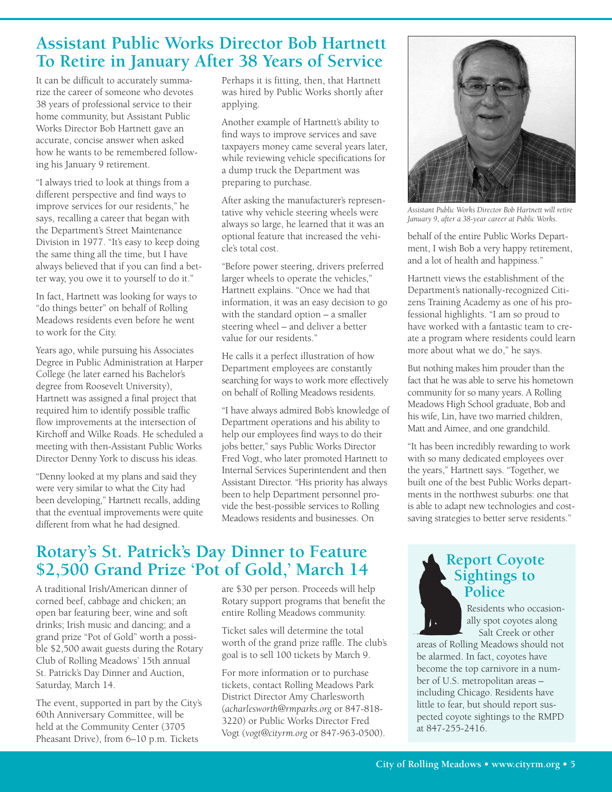## **Assistant Public Works Director Bob Hartnett To Retire in January After 38 Years of Service**

It can be difficult to accurately summarize the career of someone who devotes 38 years of professional service to their home community, but Assistant Public Works Director Bob Hartnett gave an accurate, concise answer when asked how he wants to be remembered following his January 9 retirement.

"I always tried to look at things from a different perspective and find ways to improve services for our residents," he says, recalling a career that began with the Department's Street Maintenance Division in 1977. "It's easy to keep doing the same thing all the time, but I have always believed that if you can find a better way, you owe it to yourself to do it."

In fact, Hartnett was looking for ways to "do things better" on behalf of Rolling Meadows residents even before he went to work for the City.

Years ago, while pursuing his Associates Degree in Public Administration at Harper College (he later earned his Bachelor's degree from Roosevelt University), Hartnett was assigned a final project that required him to identify possible traffic flow improvements at the intersection of Kirchoff and Wilke Roads. He scheduled a meeting with then-Assistant Public Works Director Denny York to discuss his ideas.

"Denny looked at my plans and said they were very similar to what the City had been developing," Hartnett recalls, adding that the eventual improvements were quite different from what he had designed.

Perhaps it is fitting, then, that Hartnett was hired by Public Works shortly after applying.

Another example of Hartnett's ability to find ways to improve services and save taxpayers money came several years later, while reviewing vehicle specifications for a dump truck the Department was preparing to purchase.

After asking the manufacturer's representative why vehicle steering wheels were always so large, he learned that it was an optional feature that increased the vehicle's total cost.

"Before power steering, drivers preferred larger wheels to operate the vehicles," Hartnett explains. "Once we had that information, it was an easy decision to go with the standard option – a smaller steering wheel – and deliver a better value for our residents."

He calls it a perfect illustration of how Department employees are constantly searching for ways to work more effectively on behalf of Rolling Meadows residents.

"I have always admired Bob's knowledge of Department operations and his ability to help our employees find ways to do their jobs better," says Public Works Director Fred Vogt, who later promoted Hartnett to Internal Services Superintendent and then Assistant Director. "His priority has always been to help Department personnel provide the best-possible services to Rolling Meadows residents and businesses. On

# **Rotary's St. Patrick's Day Dinner to Feature \$2,500 Grand Prize 'Pot of Gold, ' March 14**

A traditional Irish/American dinner of corned beef, cabbage and chicken; an open bar featuring beer, wine and soft drinks; Irish music and dancing; and a grand prize "Pot of Gold" worth a possible \$2,500 await guests during the Rotary Club of Rolling Meadows' 15th annual St. Patrick's Day Dinner and Auction, Saturday, March 14.

The event, supported in part by the City's 60th Anniversary Committee, will be held at the Community Center (3705 Pheasant Drive), from 6–10 p.m. Tickets

are \$30 per person. Proceeds will help Rotary support programs that benefit the entire Rolling Meadows community.

Ticket sales will determine the total worth of the grand prize raffle. The club's goal is to sell 100 tickets by March 9.

For more information or to purchase tickets, contact Rolling Meadows Park District Director Amy Charlesworth (*acharlesworth@rmparks.org* or 847-818- 3220) or Public Works Director Fred Vogt (*vogt@cityrm.org* or 847-963-0500).



*Assistant Public Works Director Bob Hartnett will retire January 9, after a 38-year career at Public Works.*

behalf of the entire Public Works Department, I wish Bob a very happy retirement, and a lot of health and happiness."

Hartnett views the establishment of the Department's nationally-recognized Citizens Training Academy as one of his professional highlights. "I am so proud to have worked with a fantastic team to create a program where residents could learn more about what we do," he says.

But nothing makes him prouder than the fact that he was able to serve his hometown community for so many years. A Rolling Meadows High School graduate, Bob and his wife, Lin, have two married children, Matt and Aimee, and one grandchild.

"It has been incredibly rewarding to work with so many dedicated employees over the years," Hartnett says. "Together, we built one of the best Public Works departments in the northwest suburbs: one that is able to adapt new technologies and costsaving strategies to better serve residents."

### **Report Coyote Sightings to Police**

Residents who occasionally spot coyotes along Salt Creek or other

areas of Rolling Meadows should not be alarmed. In fact, coyotes have become the top carnivore in a number of U.S. metropolitan areas – including Chicago. Residents have little to fear, but should report suspected coyote sightings to the RMPD at 847-255-2416.